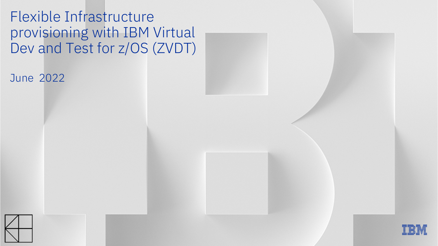Flexible Infrastructure provisioning with IBM Virtual Dev and Test for z/OS (ZVDT)

June 2022



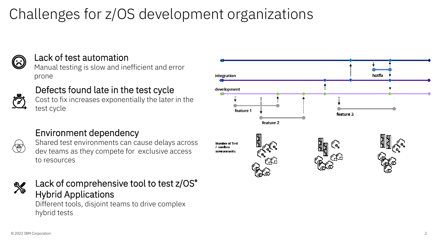# Challenges for z/OS development organizations



### Lack of test automation

Manual testing is slow and inefficient and error prone

### Defects found late in the test cycle

Cost to fix increases exponentially the later in the test cycle



### Environment dependency



Shared test environments can cause delays across dev teams as they compete for exclusive access to resources



### Lack of comprehensive tool to test z/OS® Hybrid Applications

Different tools, disjoint teams to drive complex hybrid tests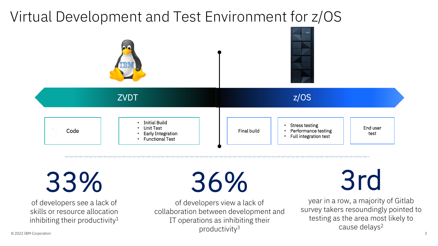# Virtual Development and Test Environment for z/OS



33%

of developers see a lack of skills or resource allocation inhibiting their productivity<sup>1</sup> 36%

3rd

of developers view a lack of collaboration between development and IT operations as inhibiting their productivity3

year in a row, a majority of Gitlab survey takers resoundingly pointed to testing as the area most likely to cause delays<sup>2</sup>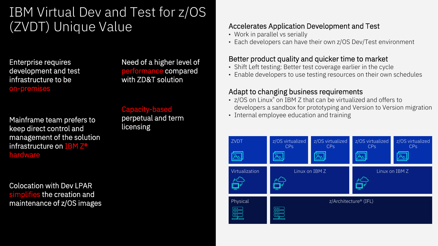## IBM Virtual Dev and Test for z/OS (ZVDT) Unique Value

Enterprise requires development and test infrastructure to be on-premises

Need of a higher level of performance compared with ZD&T solution

Mainframe team prefers to keep direct control and management of the solution infrastructure on IBM Z® hardware

Capacity-based perpetual and term licensing

Colocation with Dev LPAR simplifies the creation and maintenance of z/OS images

#### Accelerates Application Development and Test

- Work in parallel vs serially
- Each developers can have their own z/OS Dev/Test environment

#### Better product quality and quicker time to market

- Shift Left testing: Better test coverage earlier in the cycle
- Enable developers to use testing resources on their own schedules

#### Adapt to changing business requirements

- z/OS on Linux® on IBM Z that can be virtualized and offers to developers a sandbox for prototyping and Version to Version migration
- Internal employee education and training

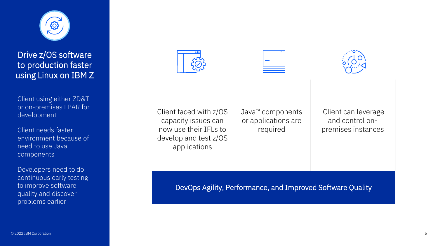

Drive z/OS software to production faster using Linux on IBM Z

Client using either ZD&T or on-premises LPAR for development

Client needs faster environment because of need to use Java components

Developers need to do continuous early testing to improve software quality and discover problems earlier







Client faced with z/OS capacity issues can now use their IFLs to develop and test z/OS applications

Java™ components or applications are required

Client can leverage and control onpremises instances

DevOps Agility, Performance, and Improved Software Quality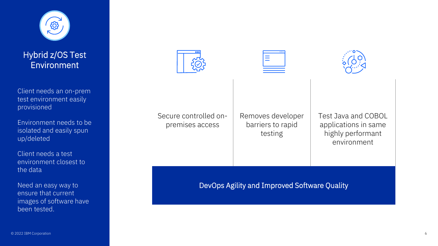

Hybrid z/OS Test **Environment** 

Client needs an on-prem test environment easily provisioned

Environment needs to be isolated and easily spun up/deleted

Client needs a test environment closest to the data

Need an easy way to ensure that current images of software have been tested.







Secure controlled onpremises access

Removes developer barriers to rapid testing

Test Java and COBOL applications in same highly performant environment

DevOps Agility and Improved Software Quality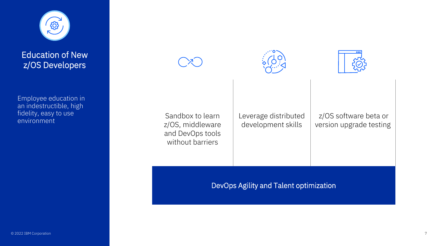

Education of New z/OS Developers

Employee education in an indestructible, high fidelity, easy to use environment







Sandbox to learn z/OS, middleware and DevOps tools without barriers

Leverage distributed development skills

z/OS software beta or version upgrade testing

DevOps Agility and Talent optimization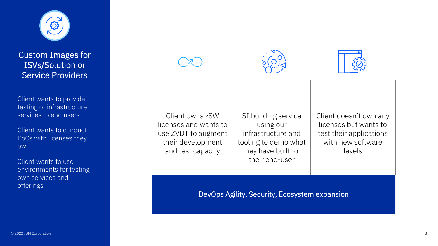

Custom Images for ISVs/Solution or Service Providers

Client wants to provide testing or infrastructure services to end users

Client wants to conduct PoCs with licenses they own

Client wants to use environments for testing own services and offerings







Client owns zSW licenses and wants to use ZVDT to augment their development and test capacity

SI building service using our infrastructure and tooling to demo what they have built for their end-user

Client doesn't own any licenses but wants to test their applications with new software levels

DevOps Agility, Security, Ecosystem expansion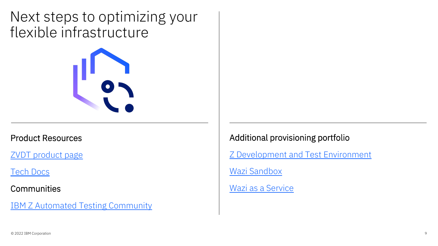Next steps to optimizing your flexible infrastructure



#### Product Resources

[ZVDT product page](https://www.ibm.com/products/virtual-dev-and-test-z_OS)

[Tech Docs](https://www.ibm.com/docs/en/zvdt/1.0.0)

**Communities** 

[IBM Z Automated Testing Community](https://community.ibm.com/community/user/ibmz-and-linuxone/groups/topic-home/blog-entries?communitykey=6827d4d1-9d33-45b1-9f53-95bda0ff83d1)

Additional provisioning portfolio

[Z Development and Test Environment](https://www.ibm.com/products/z-development-test-environment)

Wazi [Sandbox](https://www.ibm.com/products/z-and-cloud-modernization-stack)

Wazi [as a Service](http://www.ibm.com/cloud/wazi-as-a-service)